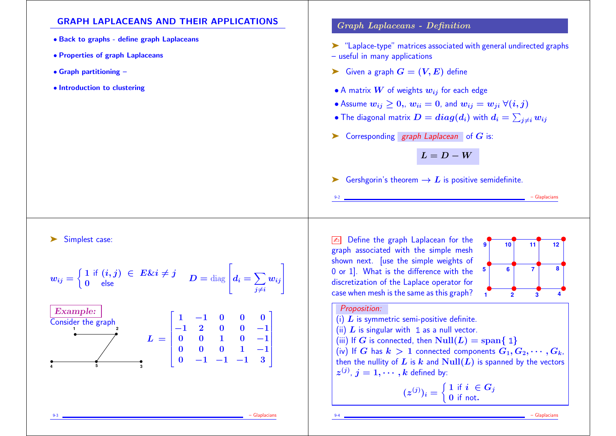## GRAPH LAPLACEANS AND THEIR APPLICATIONS

- Back to graphs define graph Laplaceans
- Properties of graph Laplaceans
- Graph partitioning –
- Introduction to clustering

### Graph Laplaceans - Definition

- ➤ "Laplace-type" matrices associated with general undirected graphs – useful in many applications
- $\blacktriangleright$  Given a graph  $G = (V, E)$  define
- A matrix  $W$  of weights  $w_{ij}$  for each edge
- Assume  $w_{ij} \geq 0$ ,  $w_{ii} = 0$ , and  $w_{ij} = w_{ji} \ \forall (i, j)$
- $\bullet$  The diagonal matrix  $\boldsymbol{D} = \boldsymbol{diag}(\boldsymbol{d}_{i})$  with  $\boldsymbol{d}_{i} = \sum_{j\neq i} w_{ij}$
- $\triangleright$  Corresponding graph Laplacean of G is:

$$
L = D - W
$$

► Gershgorin's theorem  $\rightarrow$  L is positive semidefinite.

➤ Simplest case:

$$
w_{ij} = \begin{cases} 1 \text{ if } (i,j) \in E \& i \neq j \\ 0 \text{ else} \end{cases} \quad D = \text{diag}\left[d_i = \sum_{j \neq i} w_{ij}\right]
$$

| Example:           |                                                                                                                                                               |
|--------------------|---------------------------------------------------------------------------------------------------------------------------------------------------------------|
| Consider the graph | \n $L =\n \begin{bmatrix}\n 1 & -1 & 0 & 0 & 0 \\ -1 & 2 & 0 & 0 & -1 \\ 0 & 0 & 1 & 0 & -1 \\ 0 & 0 & 0 & 1 & -1 \\ 0 & -1 & -1 & -1 & 3\n \end{bmatrix}$ \n |

Define the graph Laplacean for the graph associated with the simple mesh shown next. [use the simple weights of 0 or 1]. What is the difference with the discretization of the Laplace operator for case when mesh is the same as this graph?



- Glaplacians

#### Proposition:

- (i)  $L$  is symmetric semi-positive definite.
- (ii)  $L$  is singular with 1 as a null vector.
- (iii) If G is connected, then  $Null(L) = span\{ 1\}$

(iv) If G has  $k > 1$  connected components  $G_1, G_2, \cdots, G_k$ , then the nullity of L is k and  $Null(L)$  is spanned by the vectors  $z^{(j)},\, j=1,\cdots,k$  defined by:

$$
(z^{(j)})_i = \begin{cases} 1 \text{ if } i \in G_j \\ 0 \text{ if not.} \end{cases}
$$

9-3 – Glaplacians

- Glaplacians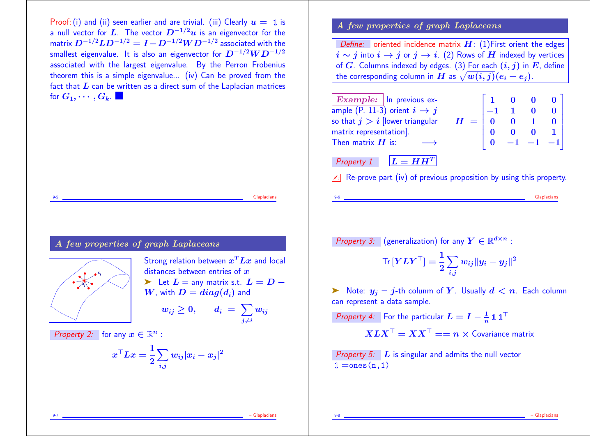Proof: (i) and (ii) seen earlier and are trivial. (iii) Clearly  $u = 1$  is a null vector for L. The vector  $D^{-1/2}u$  is an eigenvector for the matrix  $D^{-1/2}LD^{-1/2} = I - D^{-1/2}WD^{-1/2}$  associated with the smallest eigenvalue. It is also an eigenvector for  $D^{-1/2}WD^{-1/2}$ associated with the largest eigenvalue. By the Perron Frobenius theorem this is a simple eigenvalue... (iv) Can be proved from the fact that  $L$  can be written as a direct sum of the Laplacian matrices for  $G_1, \cdots, G_k$ .

9-5 – Glaplacians

## A few properties of graph Laplaceans

Define: oriented incidence matrix  $H: (1)$ First orient the edges  $i \sim j$  into  $i \to j$  or  $j \to i$ . (2) Rows of H indexed by vertices of G. Columns indexed by edges. (3) For each  $(i, j)$  in E, define the corresponding column in  $H$  as  $\sqrt{w(i, j)}(e_i - e_j)$ .

| Example: $\ln$ previous ex-              |                                            |  |                                                                   |  |
|------------------------------------------|--------------------------------------------|--|-------------------------------------------------------------------|--|
| ample (P. 11-3) orient $i \rightarrow j$ |                                            |  | $\begin{bmatrix} 0 & 0 & 0 \ 1 & 0 & 0 \end{bmatrix}$             |  |
| so that $j > i$ [lower triangular        | $H = \begin{pmatrix} 0 \\ 0 \end{pmatrix}$ |  | $0 \quad 1 \quad 0$                                               |  |
| matrix representation].                  |                                            |  |                                                                   |  |
| Then matrix $H$ is:                      |                                            |  | $\begin{vmatrix} 0 & 0 & 0 & 1 \\ 0 & -1 & -1 & -1 \end{vmatrix}$ |  |
|                                          |                                            |  |                                                                   |  |
| Property 1 $\bm{L} = \bm{H}\bm{H}^T$     |                                            |  |                                                                   |  |

 $\sqrt{2\pi}$  Re-prove part (iv) of previous proposition by using this property.

## A few properties of graph Laplaceans



Strong relation between  $x^T L x$  and local distances between entries of  $x$ ► Let  $L =$  any matrix s.t.  $L = D - W$ , with  $D = diag(d_i)$  and  $w_{ij} \geq 0, \hspace{5mm} d_i \ = \ \sum w_{ij}$  $j{\neq}i$  $\boldsymbol{w_{ij}}$ 

Property 2: for any  $x \in \mathbb{R}^n$  :

$$
\boldsymbol{x}^\top L \boldsymbol{x} = \frac{1}{2} \sum_{i,j} w_{ij} |x_i - x_j|^2
$$

*Property 3:* (generalization) for any  $Y \in \mathbb{R}^{d \times n}$  :

$$
\text{Tr}\left[\boldsymbol{Y}\boldsymbol{L}\boldsymbol{Y}^\top\right] = \frac{1}{2}\sum_{i,j}w_{ij}\lVert y_i - y_j\rVert^2
$$

 $\triangleright$  Note:  $y_j = j$ -th colunm of Y. Usually  $d < n$ . Each column can represent a data sample.

*Property 4:* For the particular  $L = I - \frac{1}{n} \mathbb{1} \mathbb{1}^{\top}$ 

$$
XLX^{\top} = \bar{X}\bar{X}^{\top} == n \times \text{Covariance matrix}
$$

Property 5:  $L$  is singular and admits the null vector  $\mathbb{1} =$ ones $(n,1)$ 

9-7 – Glaplacians

9-6 – Glaplacians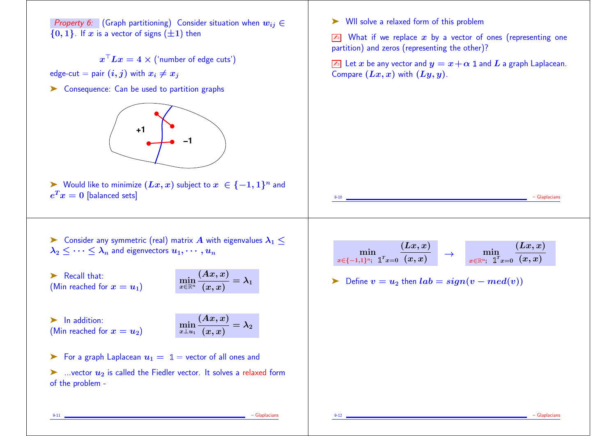Property 6: (Graph partitioning) Consider situation when  $w_{ii} \in$  ${0, 1}$ . If x is a vector of signs  $(\pm 1)$  then  $x$  '  $Lx = 4 \times ($  'number of edge cuts') edge-cut = pair  $(i, j)$  with  $x_i \neq x_j$ ➤ Consequence: Can be used to partition graphs **+1 −1**  $\blacktriangleright$  Would like to minimize  $(Lx, x)$  subject to  $x \in \{-1, 1\}^n$  and  $e^T x = 0$  [balanced sets] ➤ Wll solve a relaxed form of this problem  $\sqrt{2}$  What if we replace x by a vector of ones (representing one partition) and zeros (representing the other)?  $\boxed{\mathbb{Z}^n}$  Let x be any vector and  $y = x + \alpha 1$  and L a graph Laplacean. Compare  $(Lx, x)$  with  $(Ly, y)$ . 9-10 – Glaplacians  $\triangleright$  Consider any symmetric (real) matrix A with eigenvalues  $\lambda_1$  <  $\lambda_2$   $\lt \cdots \lt \lambda_n$  and eigenvectors  $u_1, \cdots, u_n$ ▶ Recall that: (Min reached for  $x = u_1$ )  $x{\in} \mathbb{R}^n$  $(Ax,x)$  $(x, x)$  $=\lambda_1$ ▶ In addition: (Min reached for  $x = u_2$ )  $x \bot u_1$  $(Ax,x)$  $(x, x)$  $=\lambda_2$ For a graph Laplacean  $u_1 = 1$  = vector of all ones and  $\triangleright$  ...vector  $u_2$  is called the Fiedler vector. It solves a relaxed form of the problem min  $x\in\{-1,1\}^n;$  1<sup>T</sup> $x=0$  $(Lx,x)$  $\frac{\displaystyle\min_{(x,\,x)}\quad}{\displaystyle\left(x,\,x\right)}\quad\rightarrow\quad\min_{x\in\mathbb{R}^n;\;\;\mathbb{1}^T x=0}\frac{\displaystyle\sum_{(x,\,x)}\quadx(x,\,x)}$  $Lx, x$  $\triangleright$  Define  $v = u_2$  then  $lab = sign(v - med(v))$ 

9-12 – Glaplacians

9-11 – Glaplacians – Glaplacians – Glaplacians – Glaplacians – Glaplacians – Glaplacians – Glaplacians – Glaplacians – Glaplacians – Glaplacians – Glaplacians – Glaplacians – Glaplacians – Glaplacians – Glaplacians – Glapl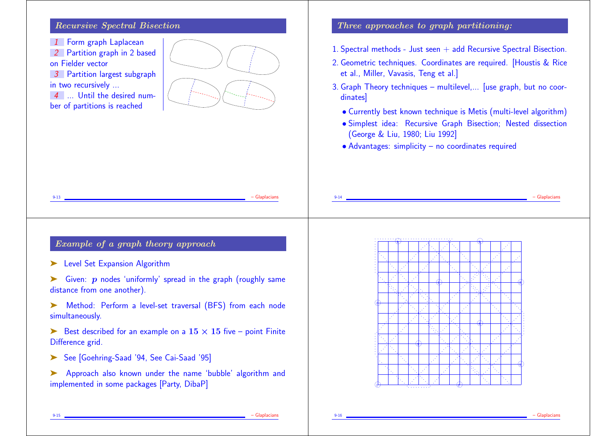## Recursive Spectral Bisection

1 Form graph Laplacean

2 Partition graph in 2 based on Fielder vector

3 Partition largest subgraph in two recursively ...

4 ... Until the desired number of partitions is reached



## Three approaches to graph partitioning:

- 1. Spectral methods Just seen + add Recursive Spectral Bisection.
- 2. Geometric techniques. Coordinates are required. [Houstis & Rice et al., Miller, Vavasis, Teng et al.]
- 3. Graph Theory techniques multilevel,... [use graph, but no coordinates]
	- Currently best known technique is Metis (multi-level algorithm)
	- Simplest idea: Recursive Graph Bisection; Nested dissection (George & Liu, 1980; Liu 1992]
	- Advantages: simplicity no coordinates required

| – Glaplacian<br>$9 - 13$                                                                  | $9 - 14$ |  |                                                                                                         |  |  |  |  | - Glaplacian |
|-------------------------------------------------------------------------------------------|----------|--|---------------------------------------------------------------------------------------------------------|--|--|--|--|--------------|
|                                                                                           |          |  | the second control of the property of the second control of the second control of the second control of |  |  |  |  |              |
| Example of a graph theory approach                                                        |          |  |                                                                                                         |  |  |  |  |              |
| Level Set Expansion Algorithm<br>➤                                                        |          |  |                                                                                                         |  |  |  |  |              |
| Given: $p$ nodes 'uniformly' spread in the graph (roughly same                            |          |  |                                                                                                         |  |  |  |  |              |
| distance from one another).                                                               |          |  |                                                                                                         |  |  |  |  |              |
| Method: Perform a level-set traversal (BFS) from each node                                |          |  |                                                                                                         |  |  |  |  |              |
| simultaneously.                                                                           |          |  |                                                                                                         |  |  |  |  |              |
| Best described for an example on a $15 \times 15$ five – point Finite<br>Difference grid. |          |  |                                                                                                         |  |  |  |  |              |
|                                                                                           |          |  |                                                                                                         |  |  |  |  |              |
|                                                                                           |          |  |                                                                                                         |  |  |  |  |              |
| See [Goehring-Saad '94, See Cai-Saad '95]                                                 |          |  |                                                                                                         |  |  |  |  |              |
| Approach also known under the name 'bubble' algorithm and                                 |          |  |                                                                                                         |  |  |  |  |              |
| implemented in some packages [Party, DibaP]                                               |          |  |                                                                                                         |  |  |  |  |              |